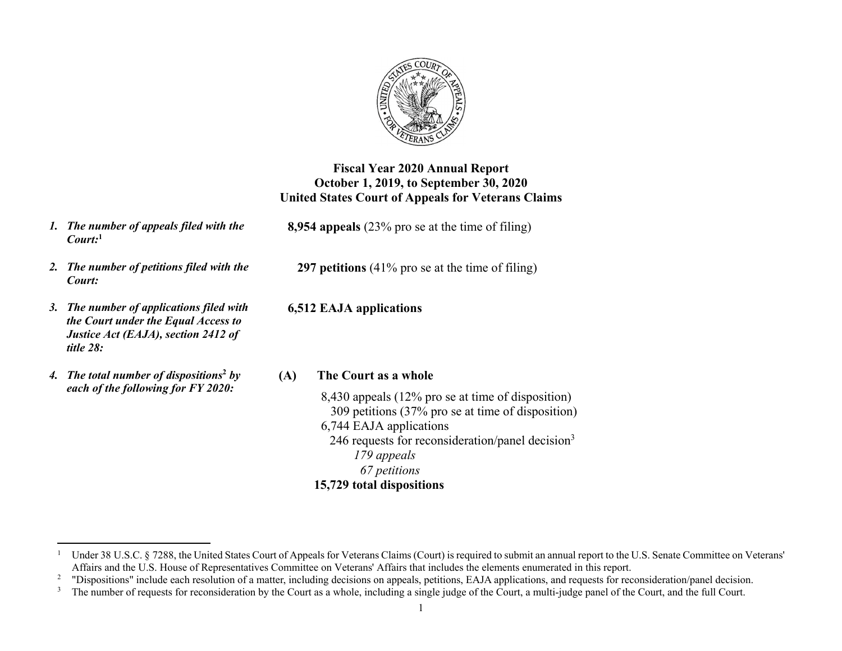

## **Fiscal Year 2020 Annual Report October 1, 2019, to September 30, 2020 United States Court of Appeals for Veterans Claims**

- *1. The number of appeals filed with the Court:***<sup>1</sup>**
- *2. The number of petitions filed with the Court:*
- *3. The number of applications filed with the Court under the Equal Access to Justice Act (EAJA), section 2412 of title 28:*
- *4. The total number of dispositions***<sup>2</sup>** *by each of the following for FY 2020:*

**8,954 appeals** (23% pro se at the time of filing)

**297 petitions** (41% pro se at the time of filing)

**6,512 EAJA applications** 

### **(A) The Court as a whole**

8,430 appeals (12% pro se at time of disposition) 309 petitions (37% pro se at time of disposition) 6,744 EAJA applications 246 requests for reconsideration/panel decision $3$ *179 appeals 67 petitions* 

### **15,729 total dispositions**

Under 38 U.S.C. § 7288, the United States Court of Appeals for Veterans Claims (Court) is required to submit an annual report to the U.S. Senate Committee on Veterans' Affairs and the U.S. House of Representatives Committee on Veterans' Affairs that includes the elements enumerated in this report.

<sup>&</sup>lt;sup>2</sup> "Dispositions" include each resolution of a matter, including decisions on appeals, petitions, EAJA applications, and requests for reconsideration/panel decision.

<sup>&</sup>lt;sup>3</sup> The number of requests for reconsideration by the Court as a whole, including a single judge of the Court, a multi-judge panel of the Court, and the full Court.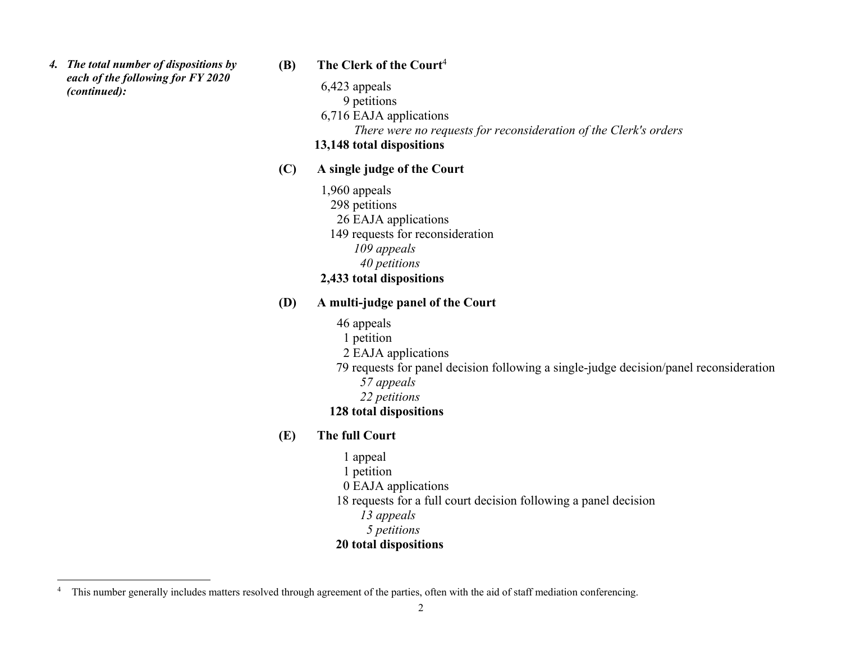*4. The total number of dispositions by each of the following for FY 2020 (continued):* 

## **(B) The Clerk of the Court**<sup>4</sup>

- 6,423 appeals
	- 9 petitions
- 6,716 EAJA applications

 *There were no requests for reconsideration of the Clerk's orders* 

# **13,148 total dispositions**

# **(C) A single judge of the Court**

- 1,960 appeals 298 petitions
	- 26 EAJA applications
	- 149 requests for reconsideration
		- *109 appeals*
		- *40 petitions*

# **2,433 total dispositions**

# **(D) A multi-judge panel of the Court**

- 46 appeals
- 1 petition
- 2 EAJA applications
- 79 requests for panel decision following a single-judge decision/panel reconsideration
	- *57 appeals*
	- *22 petitions*

# **128 total dispositions**

# **(E) The full Court**

1 appeal 1 petition 0 EAJA applications 18 requests for a full court decision following a panel decision *13 appeals 5 petitions* 

**<sup>20</sup> total dispositions**

<sup>&</sup>lt;sup>4</sup> This number generally includes matters resolved through agreement of the parties, often with the aid of staff mediation conferencing.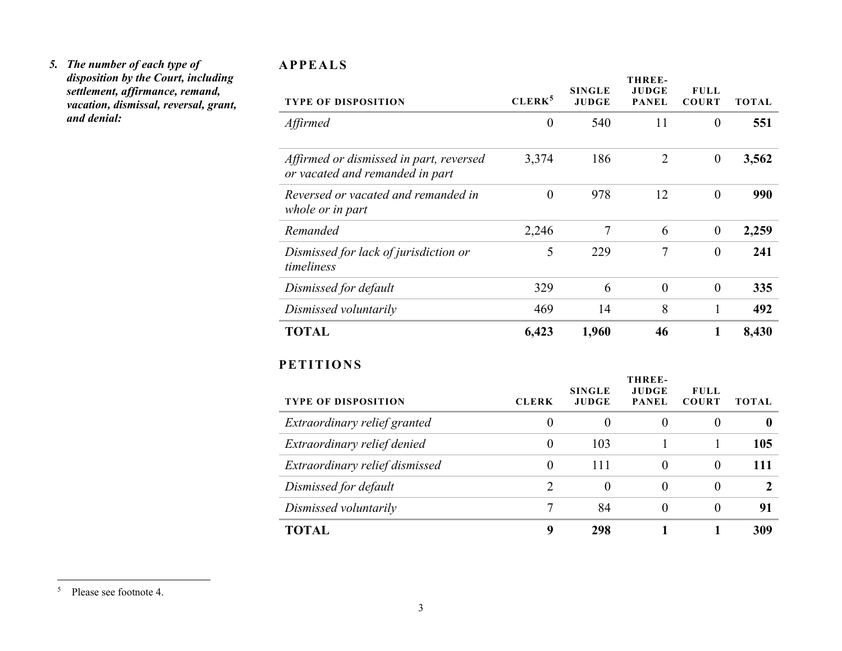#### *5. The number of each type of disposition by the Court, including settlement, affirmance, remand, vacation, dismissal, reversal, grant, and denial:*

#### **APPEALS**

| <b>TYPE OF DISPOSITION</b>                                                 | CLERK <sup>5</sup> | <b>SINGLE</b><br><b>JUDGE</b> | <b>THREE-</b><br><b>JUDGE</b><br><b>PANEL</b> | <b>FULL</b><br><b>COURT</b> | <b>TOTAL</b>     |
|----------------------------------------------------------------------------|--------------------|-------------------------------|-----------------------------------------------|-----------------------------|------------------|
| Affirmed                                                                   | $\boldsymbol{0}$   | 540                           | 11                                            | $\overline{0}$              | 551              |
| Affirmed or dismissed in part, reversed<br>or vacated and remanded in part | 3,374              | 186                           | $\overline{2}$                                | $\boldsymbol{0}$            | 3,562            |
| Reversed or vacated and remanded in<br>whole or in part                    | $\mathbf{0}$       | 978                           | 12                                            | $\boldsymbol{0}$            | 990              |
| Remanded                                                                   | 2,246              | $\tau$                        | 6                                             | $\boldsymbol{0}$            | 2,259            |
| Dismissed for lack of jurisdiction or<br>timeliness                        | 5                  | 229                           | $\overline{7}$                                | $\overline{0}$              | 241              |
| Dismissed for default                                                      | 329                | 6                             | $\theta$                                      | $\boldsymbol{0}$            | 335              |
| Dismissed voluntarily                                                      | 469                | 14                            | 8                                             | $\mathbf{1}$                | 492              |
| <b>TOTAL</b>                                                               | 6,423              | 1,960                         | 46                                            | $\mathbf{1}$                | 8,430            |
| <b>PETITIONS</b>                                                           |                    |                               |                                               |                             |                  |
| <b>TYPE OF DISPOSITION</b>                                                 | <b>CLERK</b>       | <b>SINGLE</b><br><b>JUDGE</b> | THREE-<br><b>JUDGE</b><br><b>PANEL</b>        | <b>FULL</b><br><b>COURT</b> | <b>TOTAL</b>     |
| Extraordinary relief granted                                               | $\boldsymbol{0}$   | $\overline{0}$                | $\overline{0}$                                | $\theta$                    | $\boldsymbol{0}$ |
| Extraordinary relief denied                                                | $\boldsymbol{0}$   | 103                           | $\mathbf{1}$                                  | $\mathbf{1}$                | 105              |
| Extraordinary relief dismissed                                             | $\overline{0}$     | 111                           | $\theta$                                      | $\overline{0}$              | 111              |
| Dismissed for default                                                      | $\overline{2}$     | $\boldsymbol{0}$              | $\boldsymbol{0}$                              | $\boldsymbol{0}$            | $\boldsymbol{2}$ |
| Dismissed voluntarily                                                      | $\overline{7}$     | 84                            | $\theta$                                      | $\overline{0}$              | 91               |
| <b>TOTAL</b>                                                               | 9                  | 298                           | 1                                             | $\mathbf{1}$                | 309              |

<sup>5</sup> Please see footnote 4.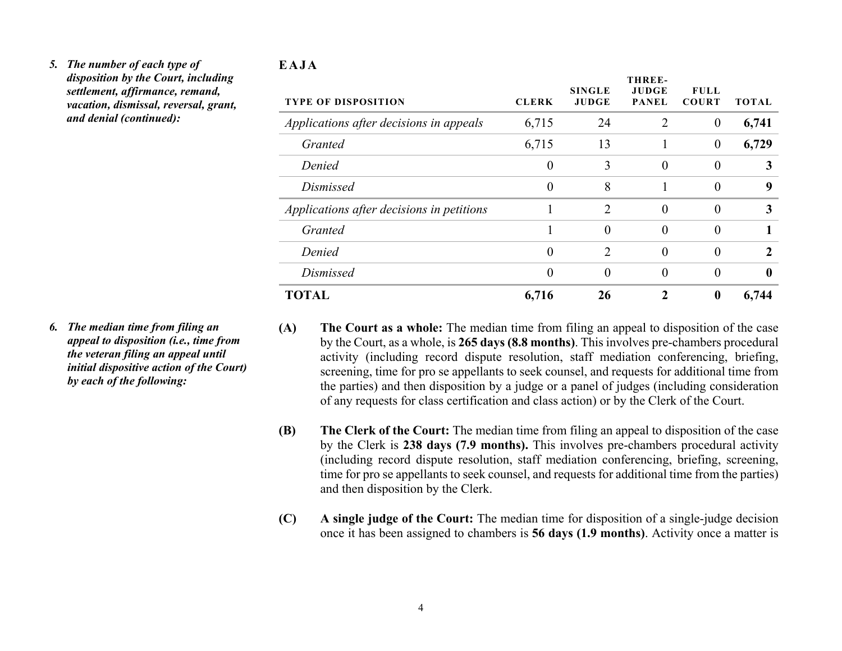### *5. The number of each type of disposition by the Court, including settlement, affirmance, remand, vacation, dismissal, reversal, grant, and denial (continued):*

#### **EAJA**

| <b>TYPE OF DISPOSITION</b>                | <b>CLERK</b>   | <b>SINGLE</b><br><b>JUDGE</b> | THREE-<br>JUDGE<br><b>PANEL</b> | <b>FULL</b><br><b>COURT</b> | <b>TOTAL</b> |
|-------------------------------------------|----------------|-------------------------------|---------------------------------|-----------------------------|--------------|
| Applications after decisions in appeals   | 6,715          | 24                            | $\overline{2}$                  | $\boldsymbol{0}$            | 6,741        |
| Granted                                   | 6,715          | 13                            |                                 | $\theta$                    | 6,729        |
| Denied                                    | $\overline{0}$ | 3                             | $\theta$                        | $\theta$                    | 3            |
| Dismissed                                 | 0              | 8                             |                                 | $\Omega$                    | 9            |
| Applications after decisions in petitions |                | $\overline{2}$                | $\theta$                        | $\theta$                    | 3            |
| Granted                                   |                | $\theta$                      | $\theta$                        | $\theta$                    |              |
| Denied                                    | $\overline{0}$ | $\mathfrak{D}$                | $\theta$                        | $\theta$                    | 2            |
| Dismissed                                 | 0              | $\theta$                      | $\Omega$                        | $\theta$                    | 0            |
| TOTAL                                     | 6,716          | 26                            |                                 | $\bf{0}$                    | 6,744        |

- *6. The median time from filing an appeal to disposition (i.e., time from the veteran filing an appeal until initial dispositive action of the Court) by each of the following:*
- **(A) The Court as a whole:** The median time from filing an appeal to disposition of the case by the Court, as a whole, is **265 days (8.8 months)**. This involves pre-chambers procedural activity (including record dispute resolution, staff mediation conferencing, briefing, screening, time for pro se appellants to seek counsel, and requests for additional time from the parties) and then disposition by a judge or a panel of judges (including consideration of any requests for class certification and class action) or by the Clerk of the Court.
- **(B) The Clerk of the Court:** The median time from filing an appeal to disposition of the case by the Clerk is **238 days (7.9 months).** This involves pre-chambers procedural activity (including record dispute resolution, staff mediation conferencing, briefing, screening, time for pro se appellants to seek counsel, and requests for additional time from the parties) and then disposition by the Clerk.
- **(C) A single judge of the Court:** The median time for disposition of a single-judge decision once it has been assigned to chambers is **56 days (1.9 months)**. Activity once a matter is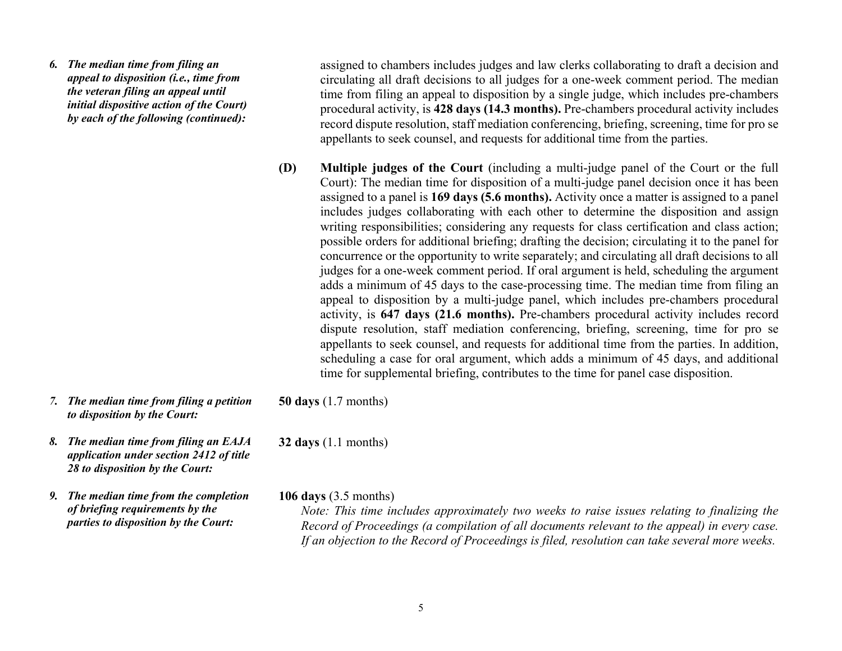*6. The median time from filing an appeal to disposition (i.e., time from the veteran filing an appeal until initial dispositive action of the Court) by each of the following (continued):* 

assigned to chambers includes judges and law clerks collaborating to draft a decision and circulating all draft decisions to all judges for a one-week comment period. The median time from filing an appeal to disposition by a single judge, which includes pre-chambers procedural activity, is **428 days (14.3 months).** Pre-chambers procedural activity includes record dispute resolution, staff mediation conferencing, briefing, screening, time for pro se appellants to seek counsel, and requests for additional time from the parties.

- **(D) Multiple judges of the Court** (including a multi-judge panel of the Court or the full Court): The median time for disposition of a multi-judge panel decision once it has been assigned to a panel is **169 days (5.6 months).** Activity once a matter is assigned to a panel includes judges collaborating with each other to determine the disposition and assign writing responsibilities; considering any requests for class certification and class action; possible orders for additional briefing; drafting the decision; circulating it to the panel for concurrence or the opportunity to write separately; and circulating all draft decisions to all judges for a one-week comment period. If oral argument is held, scheduling the argument adds a minimum of 45 days to the case-processing time. The median time from filing an appeal to disposition by a multi-judge panel, which includes pre-chambers procedural activity, is **647 days (21.6 months).** Pre-chambers procedural activity includes record dispute resolution, staff mediation conferencing, briefing, screening, time for pro se appellants to seek counsel, and requests for additional time from the parties. In addition, scheduling a case for oral argument, which adds a minimum of 45 days, and additional time for supplemental briefing, contributes to the time for panel case disposition.
- *7. The median time from filing a petition to disposition by the Court:*
- *8. The median time from filing an EAJA application under section 2412 of title 28 to disposition by the Court:*
- *9. The median time from the completion of briefing requirements by the parties to disposition by the Court:*

**50 days** (1.7 months)

**32 days** (1.1 months)

**106 days** (3.5 months)

*Note: This time includes approximately two weeks to raise issues relating to finalizing the Record of Proceedings (a compilation of all documents relevant to the appeal) in every case. If an objection to the Record of Proceedings is filed, resolution can take several more weeks.*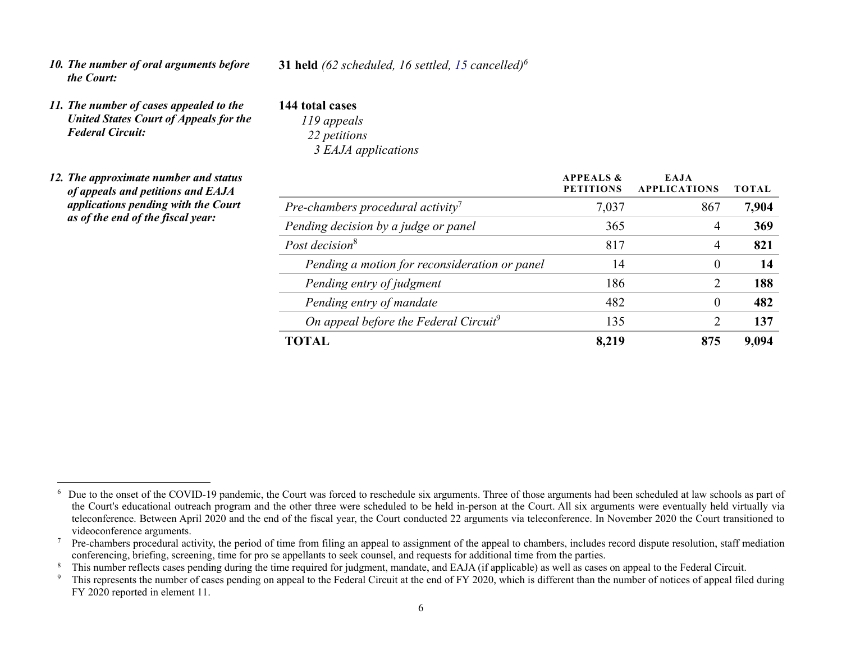*10. The number of oral arguments before the Court:* 

### **31 held** *(62 scheduled, 16 settled, 15 cancelled)6*

- **144 total cases**
- *United States Court of Appeals for the Federal Circuit:*

*11. The number of cases appealed to the* 

- *119 appeals 22 petitions 3 EAJA applications*
- *12. The approximate number and status of appeals and petitions and EAJA applications pending with the Court as of the end of the fiscal year:*

|                                                   | <b>APPEALS &amp;</b><br><b>PETITIONS</b> | EAJA<br><b>APPLICATIONS</b> | <b>TOTAL</b> |
|---------------------------------------------------|------------------------------------------|-----------------------------|--------------|
| Pre-chambers procedural activity <sup>7</sup>     | 7,037                                    | 867                         | 7,904        |
| Pending decision by a judge or panel              | 365                                      | 4                           | 369          |
| Post decision <sup>8</sup>                        | 817                                      | 4                           | 821          |
| Pending a motion for reconsideration or panel     | 14                                       | $\theta$                    | 14           |
| Pending entry of judgment                         | 186                                      | $\mathcal{D}_{\mathcal{L}}$ | 188          |
| Pending entry of mandate                          | 482                                      | $\Omega$                    | 482          |
| On appeal before the Federal Circuit <sup>9</sup> | 135                                      | 2                           | 137          |
| TOTAL                                             | 8.219                                    | 875                         | 9.094        |

 $6\sigma$  Due to the onset of the COVID-19 pandemic, the Court was forced to reschedule six arguments. Three of those arguments had been scheduled at law schools as part of the Court's educational outreach program and the other three were scheduled to be held in-person at the Court. All six arguments were eventually held virtually via teleconference. Between April 2020 and the end of the fiscal year, the Court conducted 22 arguments via teleconference. In November 2020 the Court transitioned to videoconference arguments.

 $7$  Pre-chambers procedural activity, the period of time from filing an appeal to assignment of the appeal to chambers, includes record dispute resolution, staff mediation conferencing, briefing, screening, time for pro se appellants to seek counsel, and requests for additional time from the parties.

<sup>&</sup>lt;sup>8</sup> This number reflects cases pending during the time required for judgment, mandate, and EAJA (if applicable) as well as cases on appeal to the Federal Circuit.<br><sup>9</sup> This represents the number of cases pending on appeal

This represents the number of cases pending on appeal to the Federal Circuit at the end of FY 2020, which is different than the number of notices of appeal filed during FY 2020 reported in element 11.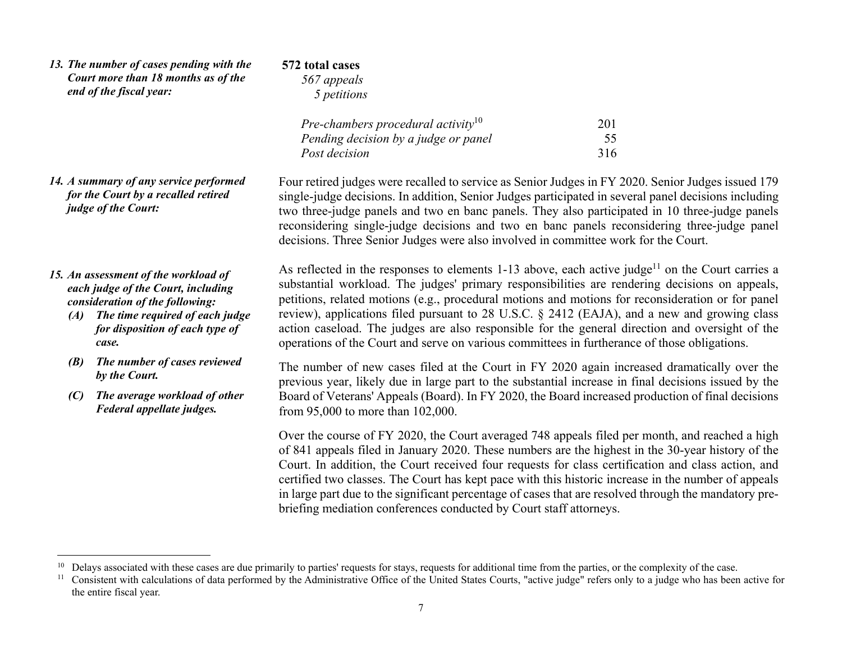| 13. The number of cases pending with the<br>Court more than 18 months as of the<br>end of the fiscal year:                                                                                         | 572 total cases<br>567 appeals<br>5 petitions                                                                                                                                                                                                                                                                                                                                                                                                                                                                                                                                                                          |                  |
|----------------------------------------------------------------------------------------------------------------------------------------------------------------------------------------------------|------------------------------------------------------------------------------------------------------------------------------------------------------------------------------------------------------------------------------------------------------------------------------------------------------------------------------------------------------------------------------------------------------------------------------------------------------------------------------------------------------------------------------------------------------------------------------------------------------------------------|------------------|
|                                                                                                                                                                                                    | Pre-chambers procedural activity <sup>10</sup><br>Pending decision by a judge or panel<br>Post decision                                                                                                                                                                                                                                                                                                                                                                                                                                                                                                                | 201<br>55<br>316 |
| 14. A summary of any service performed<br>for the Court by a recalled retired<br>judge of the Court:                                                                                               | Four retired judges were recalled to service as Senior Judges in FY 2020. Senior Judges issued 179<br>single-judge decisions. In addition, Senior Judges participated in several panel decisions including<br>two three-judge panels and two en banc panels. They also participated in 10 three-judge panels<br>reconsidering single-judge decisions and two en banc panels reconsidering three-judge panel<br>decisions. Three Senior Judges were also involved in committee work for the Court.                                                                                                                      |                  |
| 15. An assessment of the workload of<br>each judge of the Court, including<br>consideration of the following:<br>$(A)$ The time required of each judge<br>for disposition of each type of<br>case. | As reflected in the responses to elements 1-13 above, each active judge <sup>11</sup> on the Court carries a<br>substantial workload. The judges' primary responsibilities are rendering decisions on appeals,<br>petitions, related motions (e.g., procedural motions and motions for reconsideration or for panel<br>review), applications filed pursuant to 28 U.S.C. § 2412 (EAJA), and a new and growing class<br>action caseload. The judges are also responsible for the general direction and oversight of the<br>operations of the Court and serve on various committees in furtherance of those obligations. |                  |
| The number of cases reviewed<br>(B)<br>by the Court.<br>The average workload of other<br>(C)<br>Federal appellate judges.                                                                          | The number of new cases filed at the Court in FY 2020 again increased dramatically over the<br>previous year, likely due in large part to the substantial increase in final decisions issued by the<br>Board of Veterans' Appeals (Board). In FY 2020, the Board increased production of final decisions<br>from 95,000 to more than 102,000.                                                                                                                                                                                                                                                                          |                  |
|                                                                                                                                                                                                    | Over the course of FY 2020, the Court averaged 748 appeals filed per month, and reached a high<br>of 841 appeals filed in January 2020. These numbers are the highest in the 30-year history of the<br>Court. In addition, the Court received four requests for class certification and class action, and<br>certified two classes. The Court has kept pace with this historic increase in the number of appeals<br>in large part due to the significant percentage of cases that are resolved through the mandatory pre-<br>briefing mediation conferences conducted by Court staff attorneys.                        |                  |
|                                                                                                                                                                                                    |                                                                                                                                                                                                                                                                                                                                                                                                                                                                                                                                                                                                                        |                  |

<sup>&</sup>lt;sup>10</sup> Delays associated with these cases are due primarily to parties' requests for stays, requests for additional time from the parties, or the complexity of the case.

<sup>&</sup>lt;sup>11</sup> Consistent with calculations of data performed by the Administrative Office of the United States Courts, "active judge" refers only to a judge who has been active for the entire fiscal year.